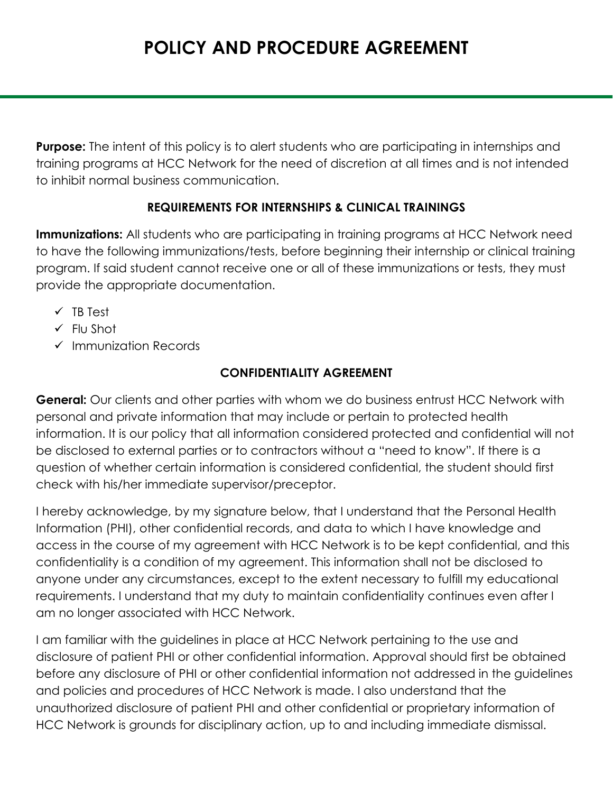# **POLICY AND PROCEDURE AGREEMENT**

**Purpose:** The intent of this policy is to alert students who are participating in internships and training programs at HCC Network for the need of discretion at all times and is not intended to inhibit normal business communication.

#### **REQUIREMENTS FOR INTERNSHIPS & CLINICAL TRAININGS**

**Immunizations:** All students who are participating in training programs at HCC Network need to have the following immunizations/tests, before beginning their internship or clinical training program. If said student cannot receive one or all of these immunizations or tests, they must provide the appropriate documentation.

- $\checkmark$  TB Test
- $\checkmark$  Flu Shot
- $\checkmark$  Immunization Records

#### **CONFIDENTIALITY AGREEMENT**

**General:** Our clients and other parties with whom we do business entrust HCC Network with personal and private information that may include or pertain to protected health information. It is our policy that all information considered protected and confidential will not be disclosed to external parties or to contractors without a "need to know". If there is a question of whether certain information is considered confidential, the student should first check with his/her immediate supervisor/preceptor.

I hereby acknowledge, by my signature below, that I understand that the Personal Health Information (PHI), other confidential records, and data to which I have knowledge and access in the course of my agreement with HCC Network is to be kept confidential, and this confidentiality is a condition of my agreement. This information shall not be disclosed to anyone under any circumstances, except to the extent necessary to fulfill my educational requirements. I understand that my duty to maintain confidentiality continues even after I am no longer associated with HCC Network.

I am familiar with the guidelines in place at HCC Network pertaining to the use and disclosure of patient PHI or other confidential information. Approval should first be obtained before any disclosure of PHI or other confidential information not addressed in the guidelines and policies and procedures of HCC Network is made. I also understand that the unauthorized disclosure of patient PHI and other confidential or proprietary information of HCC Network is grounds for disciplinary action, up to and including immediate dismissal.